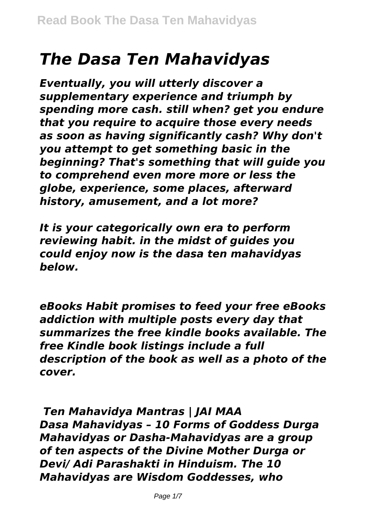# *The Dasa Ten Mahavidyas*

*Eventually, you will utterly discover a supplementary experience and triumph by spending more cash. still when? get you endure that you require to acquire those every needs as soon as having significantly cash? Why don't you attempt to get something basic in the beginning? That's something that will guide you to comprehend even more more or less the globe, experience, some places, afterward history, amusement, and a lot more?*

*It is your categorically own era to perform reviewing habit. in the midst of guides you could enjoy now is the dasa ten mahavidyas below.*

*eBooks Habit promises to feed your free eBooks addiction with multiple posts every day that summarizes the free kindle books available. The free Kindle book listings include a full description of the book as well as a photo of the cover.*

*Ten Mahavidya Mantras | JAI MAA Dasa Mahavidyas – 10 Forms of Goddess Durga Mahavidyas or Dasha-Mahavidyas are a group of ten aspects of the Divine Mother Durga or Devi/ Adi Parashakti in Hinduism. The 10 Mahavidyas are Wisdom Goddesses, who*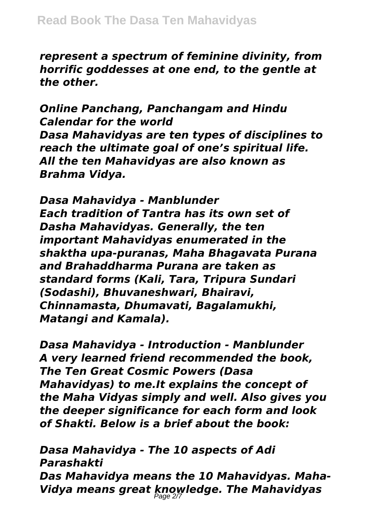*represent a spectrum of feminine divinity, from horrific goddesses at one end, to the gentle at the other.*

*Online Panchang, Panchangam and Hindu Calendar for the world Dasa Mahavidyas are ten types of disciplines to reach the ultimate goal of one's spiritual life. All the ten Mahavidyas are also known as Brahma Vidya.*

*Dasa Mahavidya - Manblunder Each tradition of Tantra has its own set of Dasha Mahavidyas. Generally, the ten important Mahavidyas enumerated in the shaktha upa-puranas, Maha Bhagavata Purana and Brahaddharma Purana are taken as standard forms (Kali, Tara, Tripura Sundari (Sodashi), Bhuvaneshwari, Bhairavi, Chinnamasta, Dhumavati, Bagalamukhi, Matangi and Kamala).*

*Dasa Mahavidya - Introduction - Manblunder A very learned friend recommended the book, The Ten Great Cosmic Powers (Dasa Mahavidyas) to me.It explains the concept of the Maha Vidyas simply and well. Also gives you the deeper significance for each form and look of Shakti. Below is a brief about the book:*

*Dasa Mahavidya - The 10 aspects of Adi Parashakti Das Mahavidya means the 10 Mahavidyas. Maha-Vidya means great knowledge. The Mahavidyas* Page 2/7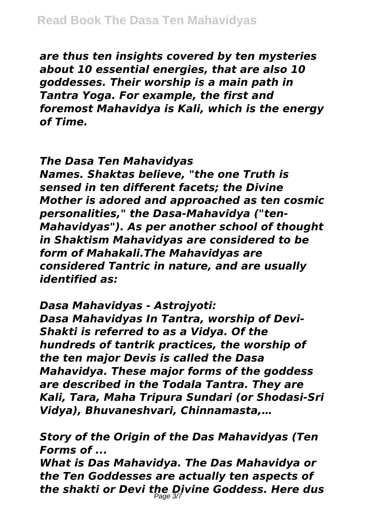*are thus ten insights covered by ten mysteries about 10 essential energies, that are also 10 goddesses. Their worship is a main path in Tantra Yoga. For example, the first and foremost Mahavidya is Kali, which is the energy of Time.*

### *The Dasa Ten Mahavidyas*

*Names. Shaktas believe, "the one Truth is sensed in ten different facets; the Divine Mother is adored and approached as ten cosmic personalities," the Dasa-Mahavidya ("ten-Mahavidyas"). As per another school of thought in Shaktism Mahavidyas are considered to be form of Mahakali.The Mahavidyas are considered Tantric in nature, and are usually identified as:*

*Dasa Mahavidyas - Astrojyoti: Dasa Mahavidyas In Tantra, worship of Devi-Shakti is referred to as a Vidya. Of the hundreds of tantrik practices, the worship of the ten major Devis is called the Dasa Mahavidya. These major forms of the goddess are described in the Todala Tantra. They are Kali, Tara, Maha Tripura Sundari (or Shodasi-Sri Vidya), Bhuvaneshvari, Chinnamasta,…*

*Story of the Origin of the Das Mahavidyas (Ten Forms of ...*

*What is Das Mahavidya. The Das Mahavidya or the Ten Goddesses are actually ten aspects of the shakti or Devi the Divine Goddess. Here dus* Page 3/7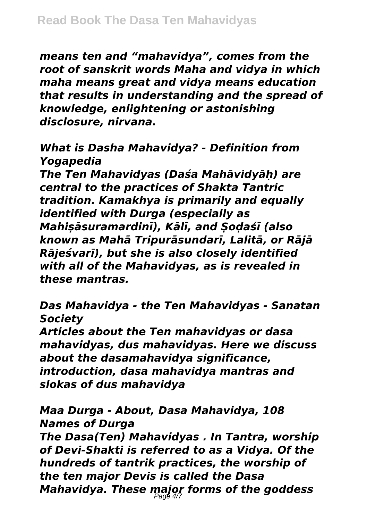*means ten and "mahavidya", comes from the root of sanskrit words Maha and vidya in which maha means great and vidya means education that results in understanding and the spread of knowledge, enlightening or astonishing disclosure, nirvana.*

## *What is Dasha Mahavidya? - Definition from Yogapedia*

*The Ten Mahavidyas (Daśa Mahāvidyāḥ) are central to the practices of Shakta Tantric tradition. Kamakhya is primarily and equally identified with Durga (especially as Mahiṣāsuramardinī), Kālī, and Ṣoḍaśī (also known as Mahā Tripurāsundarī, Lalitā, or Rājā Rājeśvarī), but she is also closely identified with all of the Mahavidyas, as is revealed in these mantras.*

*Das Mahavidya - the Ten Mahavidyas - Sanatan Society*

*Articles about the Ten mahavidyas or dasa mahavidyas, dus mahavidyas. Here we discuss about the dasamahavidya significance, introduction, dasa mahavidya mantras and slokas of dus mahavidya*

# *Maa Durga - About, Dasa Mahavidya, 108 Names of Durga*

*The Dasa(Ten) Mahavidyas . In Tantra, worship of Devi-Shakti is referred to as a Vidya. Of the hundreds of tantrik practices, the worship of the ten major Devis is called the Dasa Mahavidya. These major forms of the goddess* Page 4/7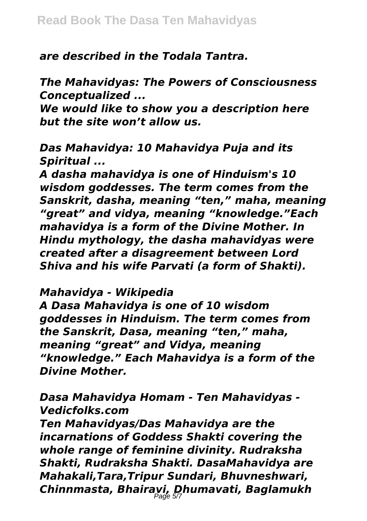*are described in the Todala Tantra.*

*The Mahavidyas: The Powers of Consciousness Conceptualized ...*

*We would like to show you a description here but the site won't allow us.*

*Das Mahavidya: 10 Mahavidya Puja and its Spiritual ...*

*A dasha mahavidya is one of Hinduism's 10 wisdom goddesses. The term comes from the Sanskrit, dasha, meaning "ten," maha, meaning "great" and vidya, meaning "knowledge."Each mahavidya is a form of the Divine Mother. In Hindu mythology, the dasha mahavidyas were created after a disagreement between Lord Shiva and his wife Parvati (a form of Shakti).*

#### *Mahavidya - Wikipedia*

*A Dasa Mahavidya is one of 10 wisdom goddesses in Hinduism. The term comes from the Sanskrit, Dasa, meaning "ten," maha, meaning "great" and Vidya, meaning "knowledge." Each Mahavidya is a form of the Divine Mother.*

*Dasa Mahavidya Homam - Ten Mahavidyas - Vedicfolks.com*

*Ten Mahavidyas/Das Mahavidya are the incarnations of Goddess Shakti covering the whole range of feminine divinity. Rudraksha Shakti, Rudraksha Shakti. DasaMahavidya are Mahakali,Tara,Tripur Sundari, Bhuvneshwari, Chinnmasta, Bhairavi, Dhumavati, Baglamukh* Page 5/7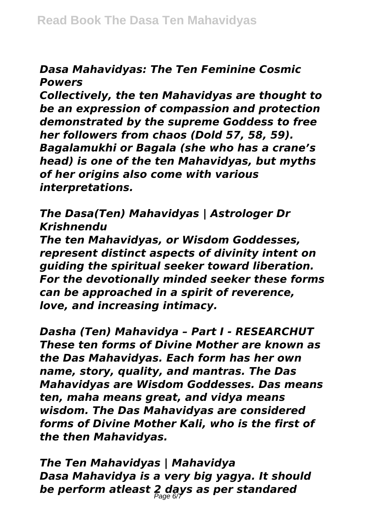## *Dasa Mahavidyas: The Ten Feminine Cosmic Powers*

*Collectively, the ten Mahavidyas are thought to be an expression of compassion and protection demonstrated by the supreme Goddess to free her followers from chaos (Dold 57, 58, 59). Bagalamukhi or Bagala (she who has a crane's head) is one of the ten Mahavidyas, but myths of her origins also come with various interpretations.*

*The Dasa(Ten) Mahavidyas | Astrologer Dr Krishnendu*

*The ten Mahavidyas, or Wisdom Goddesses, represent distinct aspects of divinity intent on guiding the spiritual seeker toward liberation. For the devotionally minded seeker these forms can be approached in a spirit of reverence, love, and increasing intimacy.*

*Dasha (Ten) Mahavidya – Part I - RESEARCHUT These ten forms of Divine Mother are known as the Das Mahavidyas. Each form has her own name, story, quality, and mantras. The Das Mahavidyas are Wisdom Goddesses. Das means ten, maha means great, and vidya means wisdom. The Das Mahavidyas are considered forms of Divine Mother Kali, who is the first of the then Mahavidyas.*

*The Ten Mahavidyas | Mahavidya Dasa Mahavidya is a very big yagya. It should be perform atleast 2 days as per standared* Page 6/7